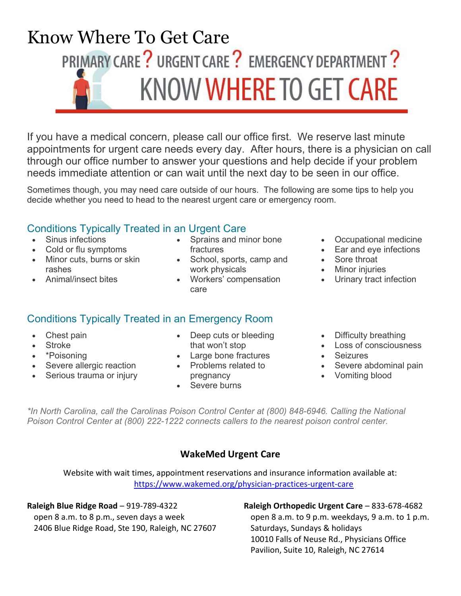

If you have a medical concern, please call our office first. We reserve last minute appointments for urgent care needs every day. After hours, there is a physician on call through our office number to answer your questions and help decide if your problem needs immediate attention or can wait until the next day to be seen in our office.

Sometimes though, you may need care outside of our hours. The following are some tips to help you decide whether you need to head to the nearest urgent care or emergency room.

# Conditions Typically Treated in an Urgent Care

- Sinus infections
- Cold or flu symptoms
- Minor cuts, burns or skin rashes
- Animal/insect bites
- Sprains and minor bone fractures
- School, sports, camp and work physicals
- Workers' compensation care

# Conditions Typically Treated in an Emergency Room

- Chest pain
- Stroke
- \*Poisoning
- Severe allergic reaction
- Serious trauma or injury
- Deep cuts or bleeding that won't stop
- Large bone fractures
- Problems related to
- pregnancy
- Severe burns
- Occupational medicine
- Ear and eye infections
- Sore throat
- Minor injuries
- Urinary tract infection
- Difficulty breathing
- $\cdot$  Loss of consciousness
- Seizures
- Severe abdominal pain
- Vomiting blood

\*In North Carolina, call the Carolinas Poison Control Center at (800) 848-6946. Calling the National Poison Control Center at (800) 222-1222 connects callers to the nearest poison control center.

## WakeMed Urgent Care

Website with wait times, appointment reservations and insurance information available at: https://www.wakemed.org/physician-practices-urgent-care

#### Raleigh Blue Ridge Road – 919-789-4322

open 8 a.m. to 8 p.m., seven days a week 2406 Blue Ridge Road, Ste 190, Raleigh, NC 27607

### Raleigh Orthopedic Urgent Care – 833-678-4682

open 8 a.m. to 9 p.m. weekdays, 9 a.m. to 1 p.m. Saturdays, Sundays & holidays 10010 Falls of Neuse Rd., Physicians Office Pavilion, Suite 10, Raleigh, NC 27614